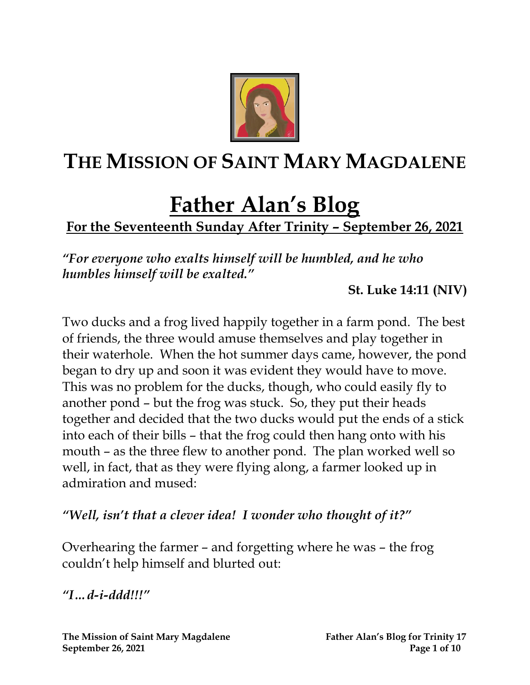

# **THE MISSION OF SAINT MARY MAGDALENE**

# **Father Alan's Blog**

# **For the Seventeenth Sunday After Trinity – September 26, 2021**

*"For everyone who exalts himself will be humbled, and he who humbles himself will be exalted."*

**St. Luke 14:11 (NIV)**

Two ducks and a frog lived happily together in a farm pond. The best of friends, the three would amuse themselves and play together in their waterhole. When the hot summer days came, however, the pond began to dry up and soon it was evident they would have to move. This was no problem for the ducks, though, who could easily fly to another pond – but the frog was stuck. So, they put their heads together and decided that the two ducks would put the ends of a stick into each of their bills – that the frog could then hang onto with his mouth – as the three flew to another pond. The plan worked well so well, in fact, that as they were flying along, a farmer looked up in admiration and mused:

#### *"Well, isn't that a clever idea! I wonder who thought of it?"*

Overhearing the farmer – and forgetting where he was – the frog couldn't help himself and blurted out:

*"I…d-i-ddd!!!"*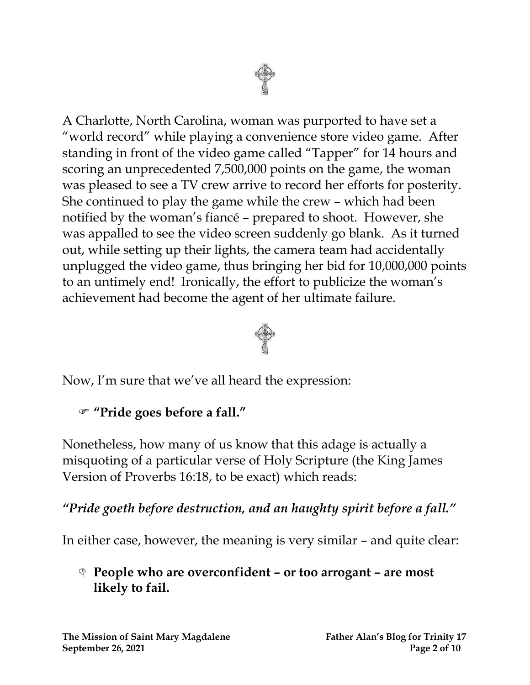



Now, I'm sure that we've all heard the expression:

#### **"Pride goes before a fall."**

Nonetheless, how many of us know that this adage is actually a misquoting of a particular verse of Holy Scripture (the King James Version of Proverbs 16:18, to be exact) which reads:

*"Pride goeth before destruction, and an haughty spirit before a fall."*

In either case, however, the meaning is very similar – and quite clear:

#### **People who are overconfident – or too arrogant – are most likely to fail.**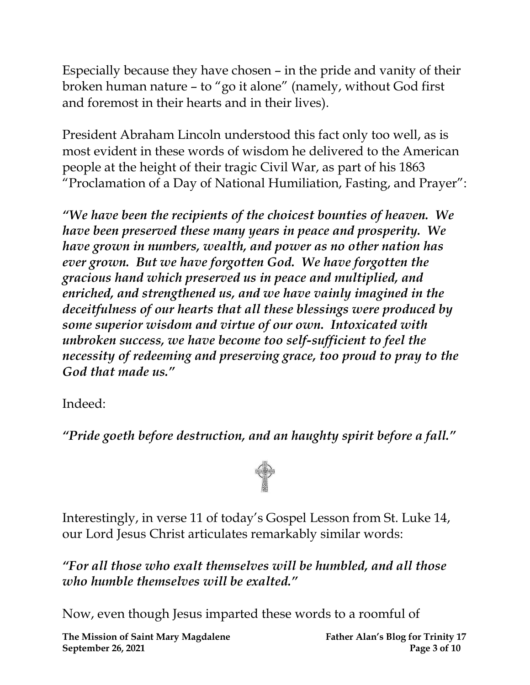Especially because they have chosen – in the pride and vanity of their broken human nature – to "go it alone" (namely, without God first and foremost in their hearts and in their lives).

President Abraham Lincoln understood this fact only too well, as is most evident in these words of wisdom he delivered to the American people at the height of their tragic Civil War, as part of his 1863 "Proclamation of a Day of National Humiliation, Fasting, and Prayer":

*"We have been the recipients of the choicest bounties of heaven. We have been preserved these many years in peace and prosperity. We have grown in numbers, wealth, and power as no other nation has ever grown. But we have forgotten God. We have forgotten the gracious hand which preserved us in peace and multiplied, and enriched, and strengthened us, and we have vainly imagined in the deceitfulness of our hearts that all these blessings were produced by some superior wisdom and virtue of our own. Intoxicated with unbroken success, we have become too self-sufficient to feel the necessity of redeeming and preserving grace, too proud to pray to the God that made us."*

Indeed:

*"Pride goeth before destruction, and an haughty spirit before a fall."*



Interestingly, in verse 11 of today's Gospel Lesson from St. Luke 14, our Lord Jesus Christ articulates remarkably similar words:

*"For all those who exalt themselves will be humbled, and all those who humble themselves will be exalted."* 

Now, even though Jesus imparted these words to a roomful of

**The Mission of Saint Mary Magdalene Father Alan's Blog for Trinity 17 September 26, 2021 Page 3 of 10**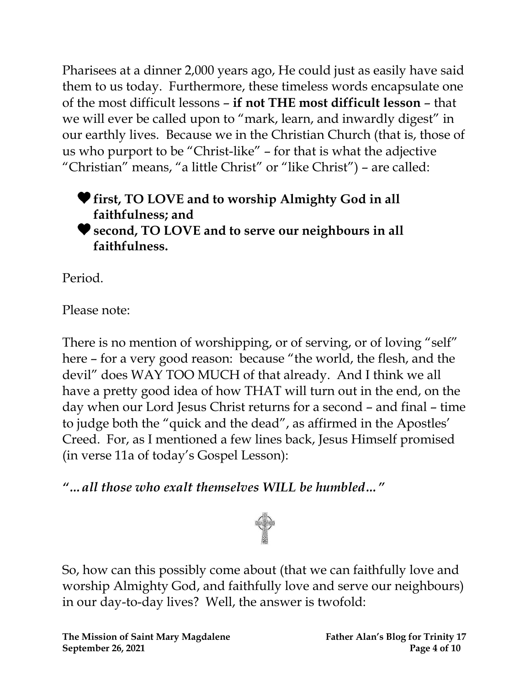Pharisees at a dinner 2,000 years ago, He could just as easily have said them to us today. Furthermore, these timeless words encapsulate one of the most difficult lessons – **if not THE most difficult lesson** – that we will ever be called upon to "mark, learn, and inwardly digest" in our earthly lives. Because we in the Christian Church (that is, those of us who purport to be "Christ-like" – for that is what the adjective "Christian" means, "a little Christ" or "like Christ") – are called:

**first, TO LOVE and to worship Almighty God in all faithfulness; and second, TO LOVE and to serve our neighbours in all faithfulness.**

Period.

Please note:

There is no mention of worshipping, or of serving, or of loving "self" here – for a very good reason: because "the world, the flesh, and the devil" does WAY TOO MUCH of that already. And I think we all have a pretty good idea of how THAT will turn out in the end, on the day when our Lord Jesus Christ returns for a second – and final – time to judge both the "quick and the dead", as affirmed in the Apostles' Creed. For, as I mentioned a few lines back, Jesus Himself promised (in verse 11a of today's Gospel Lesson):

*"…all those who exalt themselves WILL be humbled…"*



So, how can this possibly come about (that we can faithfully love and worship Almighty God, and faithfully love and serve our neighbours) in our day-to-day lives? Well, the answer is twofold: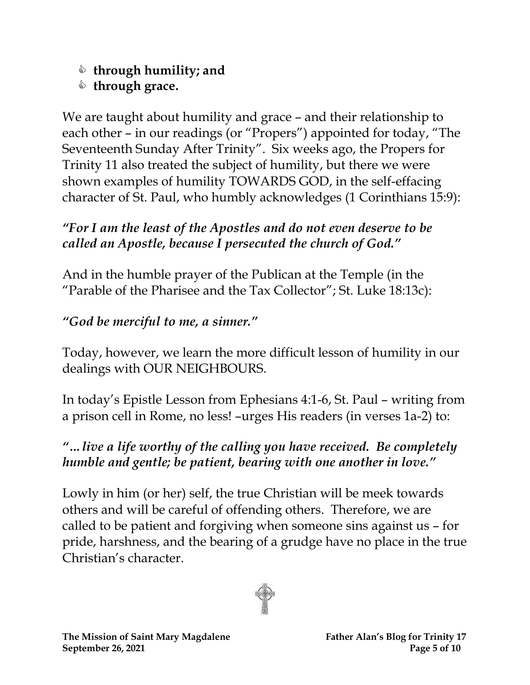## **through humility; and**

# $\triangle$  through grace.

We are taught about humility and grace – and their relationship to each other – in our readings (or "Propers") appointed for today, "The Seventeenth Sunday After Trinity". Six weeks ago, the Propers for Trinity 11 also treated the subject of humility, but there we were shown examples of humility TOWARDS GOD, in the self-effacing character of St. Paul, who humbly acknowledges (1 Corinthians 15:9):

## *"For I am the least of the Apostles and do not even deserve to be called an Apostle, because I persecuted the church of God."*

And in the humble prayer of the Publican at the Temple (in the "Parable of the Pharisee and the Tax Collector"; St. Luke 18:13c):

# *"God be merciful to me, a sinner."*

Today, however, we learn the more difficult lesson of humility in our dealings with OUR NEIGHBOURS.

In today's Epistle Lesson from Ephesians 4:1-6, St. Paul – writing from a prison cell in Rome, no less! –urges His readers (in verses 1a-2) to:

## *"…live a life worthy of the calling you have received. Be completely humble and gentle; be patient, bearing with one another in love."*

Lowly in him (or her) self, the true Christian will be meek towards others and will be careful of offending others. Therefore, we are called to be patient and forgiving when someone sins against us – for pride, harshness, and the bearing of a grudge have no place in the true Christian's character.

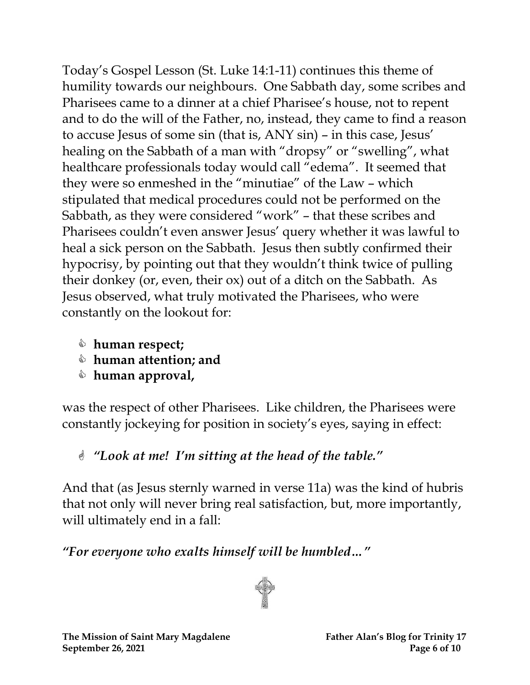Today's Gospel Lesson (St. Luke 14:1-11) continues this theme of humility towards our neighbours. One Sabbath day, some scribes and Pharisees came to a dinner at a chief Pharisee's house, not to repent and to do the will of the Father, no, instead, they came to find a reason to accuse Jesus of some sin (that is, ANY sin) – in this case, Jesus' healing on the Sabbath of a man with "dropsy" or "swelling", what healthcare professionals today would call "edema". It seemed that they were so enmeshed in the "minutiae" of the Law – which stipulated that medical procedures could not be performed on the Sabbath, as they were considered "work" – that these scribes and Pharisees couldn't even answer Jesus' query whether it was lawful to heal a sick person on the Sabbath. Jesus then subtly confirmed their hypocrisy, by pointing out that they wouldn't think twice of pulling their donkey (or, even, their ox) out of a ditch on the Sabbath. As Jesus observed, what truly motivated the Pharisees, who were constantly on the lookout for:

- **human respect;**
- **human attention; and**
- **human approval,**

was the respect of other Pharisees. Like children, the Pharisees were constantly jockeying for position in society's eyes, saying in effect:

*"Look at me! I'm sitting at the head of the table."* 

And that (as Jesus sternly warned in verse 11a) was the kind of hubris that not only will never bring real satisfaction, but, more importantly, will ultimately end in a fall:

*"For everyone who exalts himself will be humbled…"*

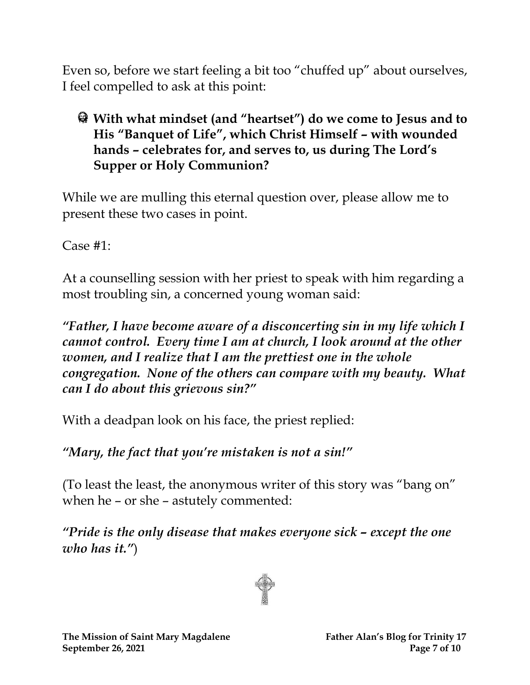Even so, before we start feeling a bit too "chuffed up" about ourselves, I feel compelled to ask at this point:

### **With what mindset (and "heartset") do we come to Jesus and to His "Banquet of Life", which Christ Himself – with wounded hands – celebrates for, and serves to, us during The Lord's Supper or Holy Communion?**

While we are mulling this eternal question over, please allow me to present these two cases in point.

Case #1:

At a counselling session with her priest to speak with him regarding a most troubling sin, a concerned young woman said:

*"Father, I have become aware of a disconcerting sin in my life which I cannot control. Every time I am at church, I look around at the other women, and I realize that I am the prettiest one in the whole congregation. None of the others can compare with my beauty. What can I do about this grievous sin?"*

With a deadpan look on his face, the priest replied:

*"Mary, the fact that you're mistaken is not a sin!"*

(To least the least, the anonymous writer of this story was "bang on" when he – or she – astutely commented:

*"Pride is the only disease that makes everyone sick – except the one who has it."*)

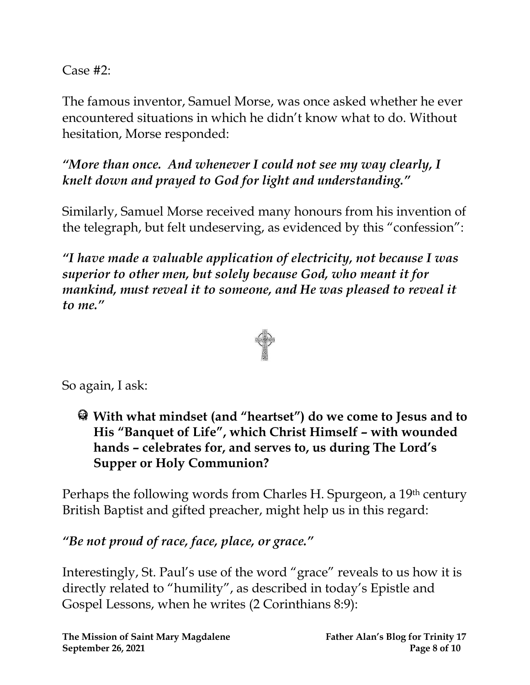Case #2:

The famous inventor, Samuel Morse, was once asked whether he ever encountered situations in which he didn't know what to do. Without hesitation, Morse responded:

*"More than once. And whenever I could not see my way clearly, I knelt down and prayed to God for light and understanding."*

Similarly, Samuel Morse received many honours from his invention of the telegraph, but felt undeserving, as evidenced by this "confession":

*"I have made a valuable application of electricity, not because I was superior to other men, but solely because God, who meant it for mankind, must reveal it to someone, and He was pleased to reveal it to me."*



So again, I ask:

**With what mindset (and "heartset") do we come to Jesus and to His "Banquet of Life", which Christ Himself – with wounded hands – celebrates for, and serves to, us during The Lord's Supper or Holy Communion?**

Perhaps the following words from Charles H. Spurgeon, a 19th century British Baptist and gifted preacher, might help us in this regard:

*"Be not proud of race, face, place, or grace."*

Interestingly, St. Paul's use of the word "grace" reveals to us how it is directly related to "humility", as described in today's Epistle and Gospel Lessons, when he writes (2 Corinthians 8:9):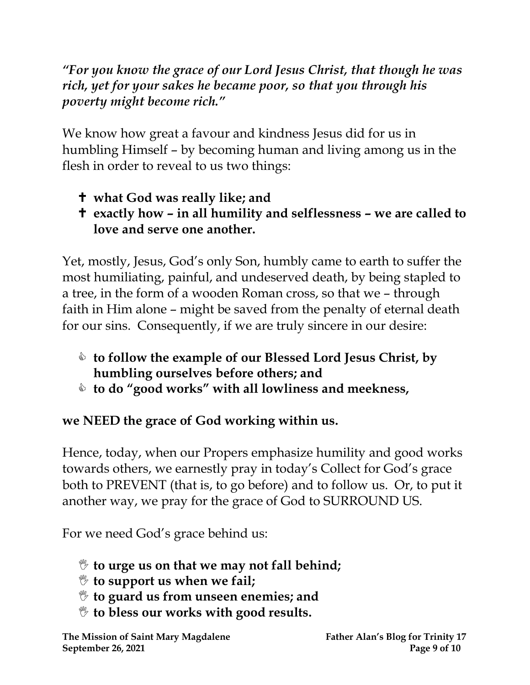*"For you know the grace of our Lord Jesus Christ, that though he was rich, yet for your sakes he became poor, so that you through his poverty might become rich."*

We know how great a favour and kindness Jesus did for us in humbling Himself – by becoming human and living among us in the flesh in order to reveal to us two things:

- **what God was really like; and**
- **exactly how – in all humility and selflessness – we are called to love and serve one another.**

Yet, mostly, Jesus, God's only Son, humbly came to earth to suffer the most humiliating, painful, and undeserved death, by being stapled to a tree, in the form of a wooden Roman cross, so that we – through faith in Him alone – might be saved from the penalty of eternal death for our sins. Consequently, if we are truly sincere in our desire:

- **to follow the example of our Blessed Lord Jesus Christ, by humbling ourselves before others; and**
- **to do "good works" with all lowliness and meekness,**

### **we NEED the grace of God working within us.**

Hence, today, when our Propers emphasize humility and good works towards others, we earnestly pray in today's Collect for God's grace both to PREVENT (that is, to go before) and to follow us. Or, to put it another way, we pray for the grace of God to SURROUND US.

For we need God's grace behind us:

- **to urge us on that we may not fall behind;**
- **to support us when we fail;**
- **to guard us from unseen enemies; and**
- **to bless our works with good results.**